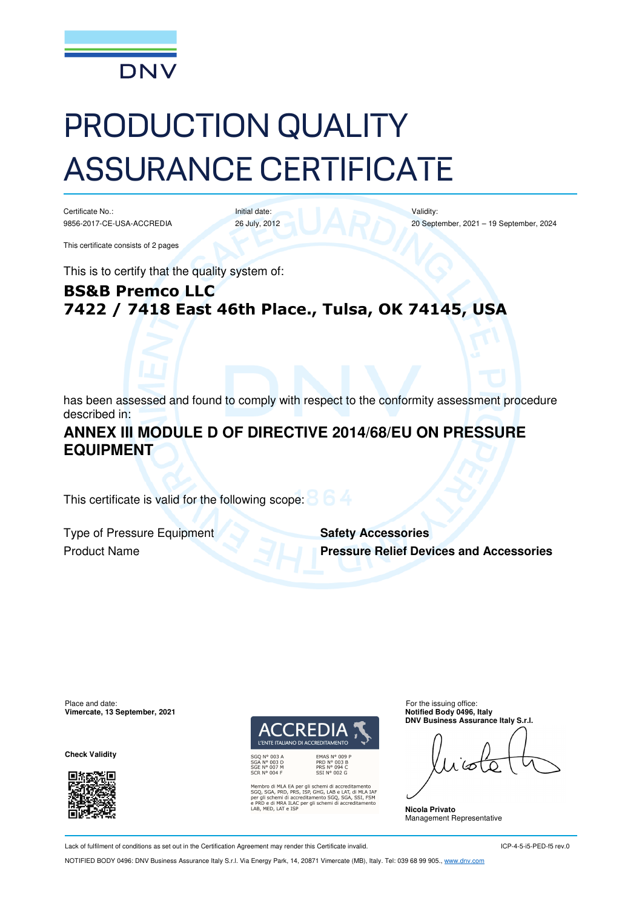

# PRODUCTION QUALITY ASSURANCE CERTIFICATE

Initial date: 26 July, 2012

Certificate No.: 9856-2017-CE-USA-ACCREDIA

This certificate consists of 2 pages

This is to certify that the quality system of:

# **BS&B Premco LLC 7422 / 7418 East 46th Place., Tulsa, OK 74145, USA**

has been assessed and found to comply with respect to the conformity assessment procedure described in:

### **ANNEX III MODULE D OF DIRECTIVE 2014/68/EU ON PRESSURE EQUIPMENT**

This certificate is valid for the following scope:

**Type of Pressure Equipment Safety Accessories** 

Product Name **Pressure Relief Devices and Accessories**

Validity:

20 September, 2021 – 19 September, 2024

Place and date:<br> **Place and date:** For the issuing office:<br> **Place and date:** For the issuing office:<br> **Place and date:** For the issuing office: **Vimercate, 13 September, 2021** 

**Check Validity** 





k EA per gli schemi di accreditamento<br>), PRS, ISP, GHG, LAB e LAT, di MLA IAF<br>di accreditamento SGQ, SGA, SSI, FSM<br>k ILAC per gli schemi di accreditamento SGA, PRD ,<br>D e di MRA ILAC per gli<br>MED | AT e ISP

**DNV Business Assurance Italy S.r.l.** 

**Nicola Privato**  Management Representative

Lack of fulfilment of conditions as set out in the Certification Agreement may render this Certificate invalid.

ICP-4-5-i5-PED-f5 rev.0

NOTIFIED BODY 0496: DNV Business Assurance Italy S.r.l. Via Energy Park, 14, 20871 Vimercate (MB), Italy. Tel: 039 68 99 905., www.dnv.com